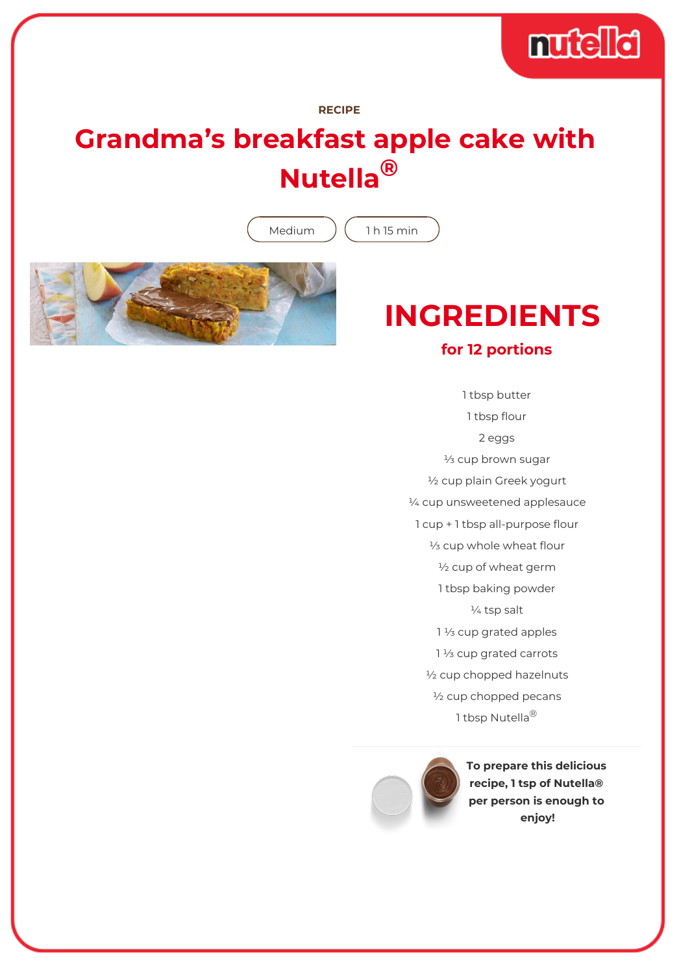

## **RECIPE**

## **Grandma's breakfast apple cake with Nutella®**

Medium  $(1 h 15 min)$ 



## **INGREDIENTS**

## **for 12 portions**

1 tbsp butter 1 tbsp flour 2 eggs ⅓ cup brown sugar ½ cup plain Greek yogurt ¼ cup unsweetened applesauce 1 cup + 1 tbsp all-purpose flour ⅓ cup whole wheat flour ½ cup of wheat germ 1 tbsp baking powder ¼ tsp salt 1 1/<sub>3</sub> cup grated apples 1 1/<sub>3</sub> cup grated carrots ½ cup chopped hazelnuts ½ cup chopped pecans 1 tbsp Nutella<sup>®</sup>



**To prepare this delicious recipe, 1 tsp of Nutella® per person is enough to enjoy!**